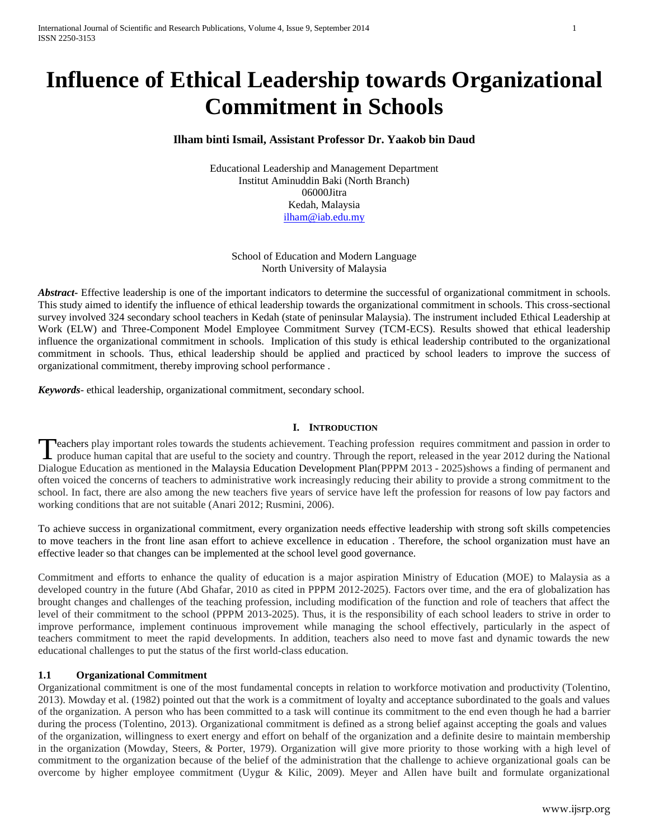# **Influence of Ethical Leadership towards Organizational Commitment in Schools**

# **Ilham binti Ismail, Assistant Professor Dr. Yaakob bin Daud**

Educational Leadership and Management Department Institut Aminuddin Baki (North Branch) 06000Jitra Kedah, Malaysia [ilham@iab.edu.my](mailto:ilham@iab.edu.my)

School of Education and Modern Language North University of Malaysia

*Abstract***-** Effective leadership is one of the important indicators to determine the successful of organizational commitment in schools. This study aimed to identify the influence of ethical leadership towards the organizational commitment in schools. This cross-sectional survey involved 324 secondary school teachers in Kedah (state of peninsular Malaysia). The instrument included Ethical Leadership at Work (ELW) and Three-Component Model Employee Commitment Survey (TCM-ECS). Results showed that ethical leadership influence the organizational commitment in schools. Implication of this study is ethical leadership contributed to the organizational commitment in schools. Thus, ethical leadership should be applied and practiced by school leaders to improve the success of organizational commitment, thereby improving school performance .

*Keywords*- ethical leadership, organizational commitment, secondary school.

# **I. INTRODUCTION**

**Peachers play important roles towards the students achievement. Teaching profession requires commitment and passion in order to** Teachers play important roles towards the students achievement. Teaching profession requires commitment and passion in order to produce human capital that are useful to the society and country. Through the report, released Dialogue Education as mentioned in the Malaysia Education Development Plan(PPPM 2013 - 2025)shows a finding of permanent and often voiced the concerns of teachers to administrative work increasingly reducing their ability to provide a strong commitment to the school. In fact, there are also among the new teachers five years of service have left the profession for reasons of low pay factors and working conditions that are not suitable (Anari 2012; Rusmini, 2006).

To achieve success in organizational commitment, every organization needs effective leadership with strong soft skills competencies to move teachers in the front line asan effort to achieve excellence in education . Therefore, the school organization must have an effective leader so that changes can be implemented at the school level good governance.

Commitment and efforts to enhance the quality of education is a major aspiration Ministry of Education (MOE) to Malaysia as a developed country in the future (Abd Ghafar, 2010 as cited in PPPM 2012-2025). Factors over time, and the era of globalization has brought changes and challenges of the teaching profession, including modification of the function and role of teachers that affect the level of their commitment to the school (PPPM 2013-2025). Thus, it is the responsibility of each school leaders to strive in order to improve performance, implement continuous improvement while managing the school effectively, particularly in the aspect of teachers commitment to meet the rapid developments. In addition, teachers also need to move fast and dynamic towards the new educational challenges to put the status of the first world-class education.

# **1.1 Organizational Commitment**

Organizational commitment is one of the most fundamental concepts in relation to workforce motivation and productivity (Tolentino, 2013). Mowday et al. (1982) pointed out that the work is a commitment of loyalty and acceptance subordinated to the goals and values of the organization. A person who has been committed to a task will continue its commitment to the end even though he had a barrier during the process (Tolentino, 2013). Organizational commitment is defined as a strong belief against accepting the goals and values of the organization, willingness to exert energy and effort on behalf of the organization and a definite desire to maintain membership in the organization (Mowday, Steers, & Porter, 1979). Organization will give more priority to those working with a high level of commitment to the organization because of the belief of the administration that the challenge to achieve organizational goals can be overcome by higher employee commitment (Uygur & Kilic, 2009). Meyer and Allen have built and formulate organizational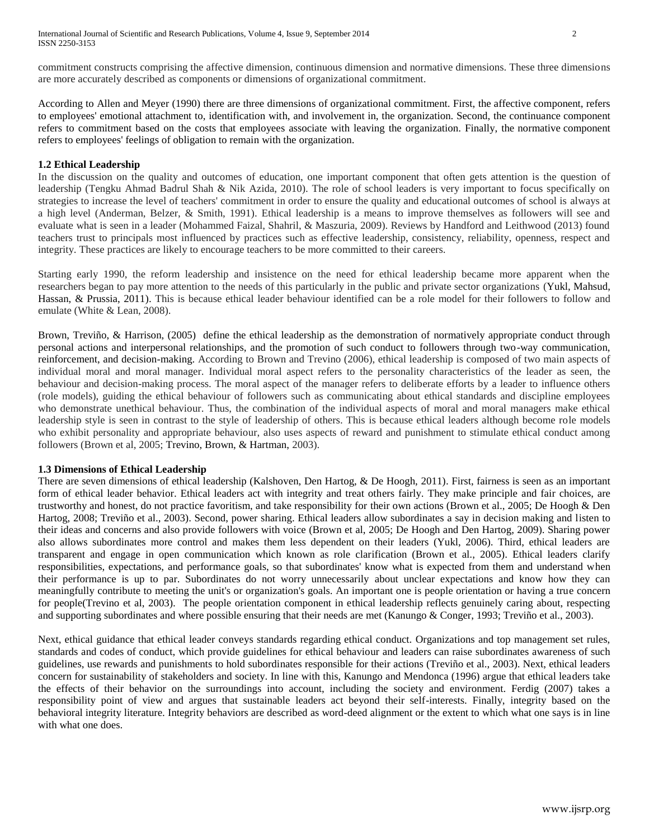commitment constructs comprising the affective dimension, continuous dimension and normative dimensions. These three dimensions are more accurately described as components or dimensions of organizational commitment.

According to Allen and Meyer (1990) there are three dimensions of organizational commitment. First, the affective component, refers to employees' emotional attachment to, identification with, and involvement in, the organization. Second, the continuance component refers to commitment based on the costs that employees associate with leaving the organization. Finally, the normative component refers to employees' feelings of obligation to remain with the organization.

## **1.2 Ethical Leadership**

In the discussion on the quality and outcomes of education, one important component that often gets attention is the question of leadership (Tengku Ahmad Badrul Shah & Nik Azida, 2010). The role of school leaders is very important to focus specifically on strategies to increase the level of teachers' commitment in order to ensure the quality and educational outcomes of school is always at a high level (Anderman, Belzer, & Smith, 1991). Ethical leadership is a means to improve themselves as followers will see and evaluate what is seen in a leader (Mohammed Faizal, Shahril, & Maszuria, 2009). Reviews by Handford and Leithwood (2013) found teachers trust to principals most influenced by practices such as effective leadership, consistency, reliability, openness, respect and integrity. These practices are likely to encourage teachers to be more committed to their careers.

Starting early 1990, the reform leadership and insistence on the need for ethical leadership became more apparent when the researchers began to pay more attention to the needs of this particularly in the public and private sector organizations (Yukl, Mahsud, Hassan, & Prussia, 2011). This is because ethical leader behaviour identified can be a role model for their followers to follow and emulate (White & Lean, 2008).

Brown, Treviño, & Harrison, (2005) define the ethical leadership as the demonstration of normatively appropriate conduct through personal actions and interpersonal relationships, and the promotion of such conduct to followers through two-way communication, reinforcement, and decision-making. According to Brown and Trevino (2006), ethical leadership is composed of two main aspects of individual moral and moral manager. Individual moral aspect refers to the personality characteristics of the leader as seen, the behaviour and decision-making process. The moral aspect of the manager refers to deliberate efforts by a leader to influence others (role models), guiding the ethical behaviour of followers such as communicating about ethical standards and discipline employees who demonstrate unethical behaviour. Thus, the combination of the individual aspects of moral and moral managers make ethical leadership style is seen in contrast to the style of leadership of others. This is because ethical leaders although become role models who exhibit personality and appropriate behaviour, also uses aspects of reward and punishment to stimulate ethical conduct among followers (Brown et al, 2005; Trevino, Brown, & Hartman, 2003).

# **1.3 Dimensions of Ethical Leadership**

There are seven dimensions of ethical leadership (Kalshoven, Den Hartog, & De Hoogh, 2011). First, fairness is seen as an important form of ethical leader behavior. Ethical leaders act with integrity and treat others fairly. They make principle and fair choices, are trustworthy and honest, do not practice favoritism, and take responsibility for their own actions (Brown et al., 2005; De Hoogh & Den Hartog, 2008; Treviño et al., 2003). Second, power sharing. Ethical leaders allow subordinates a say in decision making and listen to their ideas and concerns and also provide followers with voice (Brown et al, 2005; De Hoogh and Den Hartog, 2009). Sharing power also allows subordinates more control and makes them less dependent on their leaders (Yukl, 2006). Third, ethical leaders are transparent and engage in open communication which known as role clarification (Brown et al., 2005). Ethical leaders clarify responsibilities, expectations, and performance goals, so that subordinates' know what is expected from them and understand when their performance is up to par. Subordinates do not worry unnecessarily about unclear expectations and know how they can meaningfully contribute to meeting the unit's or organization's goals. An important one is people orientation or having a true concern for people(Trevino et al, 2003). The people orientation component in ethical leadership reflects genuinely caring about, respecting and supporting subordinates and where possible ensuring that their needs are met (Kanungo & Conger, 1993; Treviño et al., 2003).

Next, ethical guidance that ethical leader conveys standards regarding ethical conduct. Organizations and top management set rules, standards and codes of conduct, which provide guidelines for ethical behaviour and leaders can raise subordinates awareness of such guidelines, use rewards and punishments to hold subordinates responsible for their actions (Treviño et al., 2003). Next, ethical leaders concern for sustainability of stakeholders and society. In line with this, Kanungo and Mendonca (1996) argue that ethical leaders take the effects of their behavior on the surroundings into account, including the society and environment. Ferdig (2007) takes a responsibility point of view and argues that sustainable leaders act beyond their self-interests. Finally, integrity based on the behavioral integrity literature. Integrity behaviors are described as word-deed alignment or the extent to which what one says is in line with what one does.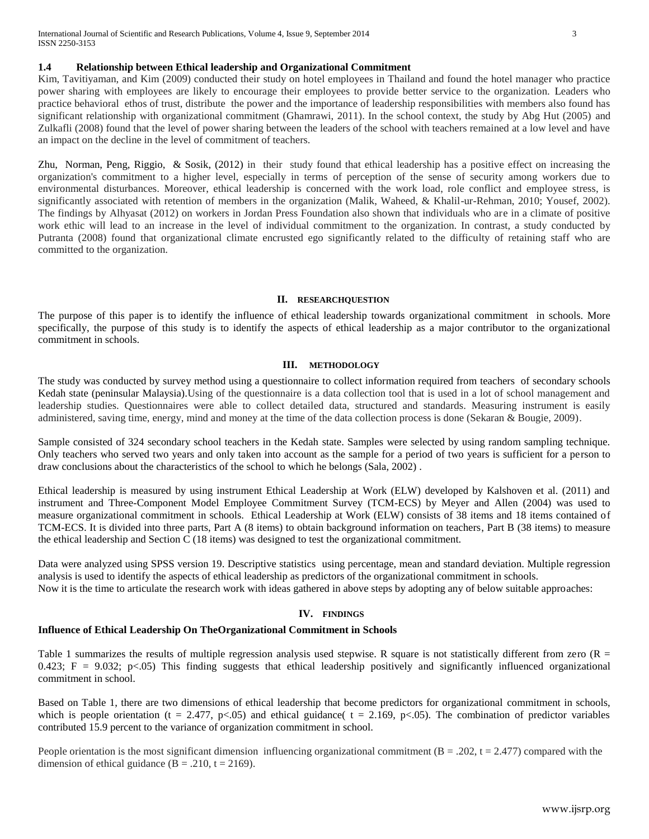## **1.4 Relationship between Ethical leadership and Organizational Commitment**

Kim, Tavitiyaman, and Kim (2009) conducted their study on hotel employees in Thailand and found the hotel manager who practice power sharing with employees are likely to encourage their employees to provide better service to the organization. Leaders who practice behavioral ethos of trust, distribute the power and the importance of leadership responsibilities with members also found has significant relationship with organizational commitment (Ghamrawi, 2011). In the school context, the study by Abg Hut (2005) and Zulkafli (2008) found that the level of power sharing between the leaders of the school with teachers remained at a low level and have an impact on the decline in the level of commitment of teachers.

Zhu, Norman, Peng, Riggio, & Sosik, (2012) in their study found that ethical leadership has a positive effect on increasing the organization's commitment to a higher level, especially in terms of perception of the sense of security among workers due to environmental disturbances. Moreover, ethical leadership is concerned with the work load, role conflict and employee stress, is significantly associated with retention of members in the organization (Malik, Waheed, & Khalil-ur-Rehman, 2010; Yousef, 2002). The findings by Alhyasat (2012) on workers in Jordan Press Foundation also shown that individuals who are in a climate of positive work ethic will lead to an increase in the level of individual commitment to the organization. In contrast, a study conducted by Putranta (2008) found that organizational climate encrusted ego significantly related to the difficulty of retaining staff who are committed to the organization.

#### **II. RESEARCHQUESTION**

The purpose of this paper is to identify the influence of ethical leadership towards organizational commitment in schools. More specifically, the purpose of this study is to identify the aspects of ethical leadership as a major contributor to the organizational commitment in schools.

## **III. METHODOLOGY**

The study was conducted by survey method using a questionnaire to collect information required from teachers of secondary schools Kedah state (peninsular Malaysia).Using of the questionnaire is a data collection tool that is used in a lot of school management and leadership studies. Questionnaires were able to collect detailed data, structured and standards. Measuring instrument is easily administered, saving time, energy, mind and money at the time of the data collection process is done (Sekaran & Bougie, 2009).

Sample consisted of 324 secondary school teachers in the Kedah state. Samples were selected by using random sampling technique. Only teachers who served two years and only taken into account as the sample for a period of two years is sufficient for a person to draw conclusions about the characteristics of the school to which he belongs (Sala, 2002) .

Ethical leadership is measured by using instrument Ethical Leadership at Work (ELW) developed by Kalshoven et al. (2011) and instrument and Three-Component Model Employee Commitment Survey (TCM-ECS) by Meyer and Allen (2004) was used to measure organizational commitment in schools. Ethical Leadership at Work (ELW) consists of 38 items and 18 items contained of TCM-ECS. It is divided into three parts, Part A (8 items) to obtain background information on teachers, Part B (38 items) to measure the ethical leadership and Section C (18 items) was designed to test the organizational commitment.

Data were analyzed using SPSS version 19. Descriptive statistics using percentage, mean and standard deviation. Multiple regression analysis is used to identify the aspects of ethical leadership as predictors of the organizational commitment in schools. Now it is the time to articulate the research work with ideas gathered in above steps by adopting any of below suitable approaches:

## **IV. FINDINGS**

# **Influence of Ethical Leadership On TheOrganizational Commitment in Schools**

Table 1 summarizes the results of multiple regression analysis used stepwise. R square is not statistically different from zero  $(R =$ 0.423;  $F = 9.032$ ;  $p \lt 0.05$ ) This finding suggests that ethical leadership positively and significantly influenced organizational commitment in school.

Based on Table 1, there are two dimensions of ethical leadership that become predictors for organizational commitment in schools, which is people orientation (t = 2.477, p<.05) and ethical guidance(  $t = 2.169$ , p<.05). The combination of predictor variables contributed 15.9 percent to the variance of organization commitment in school.

People orientation is the most significant dimension influencing organizational commitment ( $B = .202$ ,  $t = 2.477$ ) compared with the dimension of ethical guidance ( $B = .210$ ,  $t = 2169$ ).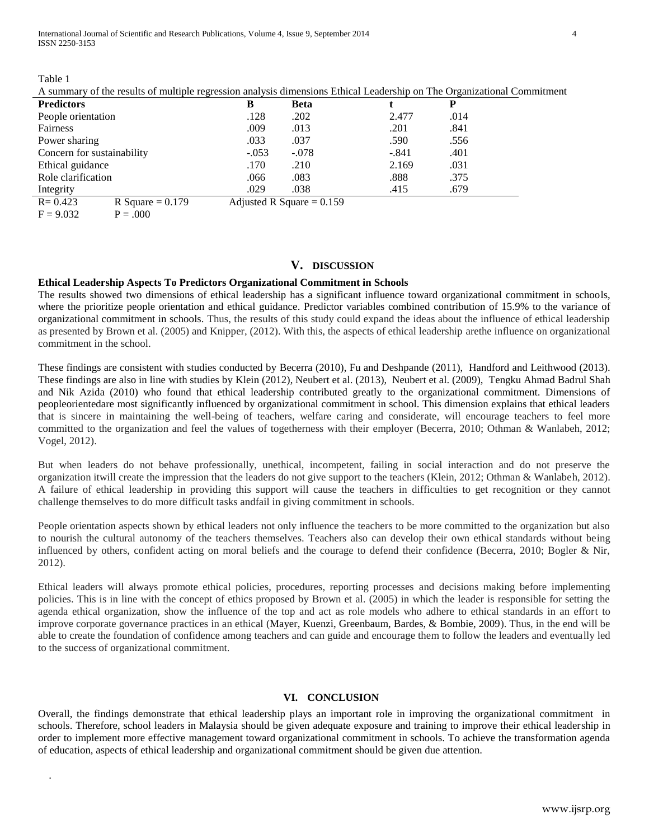International Journal of Scientific and Research Publications, Volume 4, Issue 9, September 2014 4 ISSN 2250-3153

Table 1

.

A summary of the results of multiple regression analysis dimensions Ethical Leadership on The Organizational Commitment

| <b>Predictors</b>          |                    | В                           | <b>Beta</b> |         | P    |
|----------------------------|--------------------|-----------------------------|-------------|---------|------|
| People orientation         |                    | .128                        | .202        | 2.477   | .014 |
| Fairness                   |                    | .009                        | .013        | .201    | .841 |
| Power sharing              |                    | .033                        | .037        | .590    | .556 |
| Concern for sustainability |                    | $-.053$                     | $-.078$     | $-.841$ | .401 |
| Ethical guidance           |                    | .170                        | .210        | 2.169   | .031 |
| Role clarification         |                    | .066                        | .083        | .888    | .375 |
| Integrity                  |                    | .029                        | .038        | .415    | .679 |
| $R = 0.423$                | R Square $= 0.179$ | Adjusted R Square = $0.159$ |             |         |      |

 $F = 9.032$   $P = .000$ 

# **V. DISCUSSION**

#### **Ethical Leadership Aspects To Predictors Organizational Commitment in Schools**

The results showed two dimensions of ethical leadership has a significant influence toward organizational commitment in schools, where the prioritize people orientation and ethical guidance. Predictor variables combined contribution of 15.9% to the variance of organizational commitment in schools. Thus, the results of this study could expand the ideas about the influence of ethical leadership as presented by Brown et al. (2005) and Knipper, (2012). With this, the aspects of ethical leadership arethe influence on organizational commitment in the school.

These findings are consistent with studies conducted by Becerra (2010), Fu and Deshpande (2011), Handford and Leithwood (2013). These findings are also in line with studies by Klein (2012), Neubert et al. (2013), Neubert et al. (2009), Tengku Ahmad Badrul Shah and Nik Azida (2010) who found that ethical leadership contributed greatly to the organizational commitment. Dimensions of peopleorientedare most significantly influenced by organizational commitment in school. This dimension explains that ethical leaders that is sincere in maintaining the well-being of teachers, welfare caring and considerate, will encourage teachers to feel more committed to the organization and feel the values of togetherness with their employer (Becerra, 2010; Othman & Wanlabeh, 2012; Vogel, 2012).

But when leaders do not behave professionally, unethical, incompetent, failing in social interaction and do not preserve the organization itwill create the impression that the leaders do not give support to the teachers (Klein, 2012; Othman & Wanlabeh, 2012). A failure of ethical leadership in providing this support will cause the teachers in difficulties to get recognition or they cannot challenge themselves to do more difficult tasks andfail in giving commitment in schools.

People orientation aspects shown by ethical leaders not only influence the teachers to be more committed to the organization but also to nourish the cultural autonomy of the teachers themselves. Teachers also can develop their own ethical standards without being influenced by others, confident acting on moral beliefs and the courage to defend their confidence (Becerra, 2010; Bogler & Nir, 2012).

Ethical leaders will always promote ethical policies, procedures, reporting processes and decisions making before implementing policies. This is in line with the concept of ethics proposed by Brown et al. (2005) in which the leader is responsible for setting the agenda ethical organization, show the influence of the top and act as role models who adhere to ethical standards in an effort to improve corporate governance practices in an ethical (Mayer, Kuenzi, Greenbaum, Bardes, & Bombie, 2009). Thus, in the end will be able to create the foundation of confidence among teachers and can guide and encourage them to follow the leaders and eventually led to the success of organizational commitment.

#### **VI. CONCLUSION**

Overall, the findings demonstrate that ethical leadership plays an important role in improving the organizational commitment in schools. Therefore, school leaders in Malaysia should be given adequate exposure and training to improve their ethical leadership in order to implement more effective management toward organizational commitment in schools. To achieve the transformation agenda of education, aspects of ethical leadership and organizational commitment should be given due attention.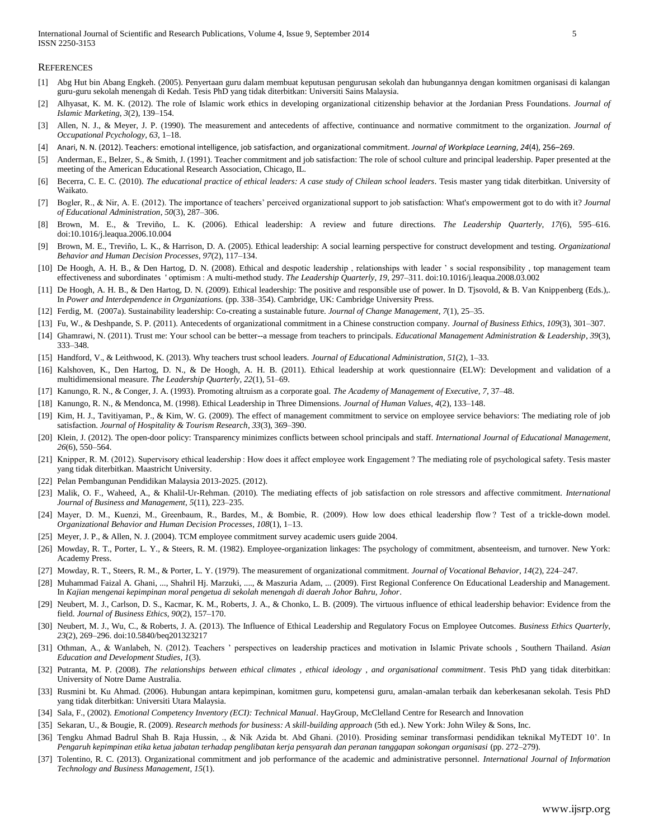**REFERENCES** 

- [1] Abg Hut bin Abang Engkeh. (2005). Penyertaan guru dalam membuat keputusan pengurusan sekolah dan hubungannya dengan komitmen organisasi di kalangan guru-guru sekolah menengah di Kedah. Tesis PhD yang tidak diterbitkan: Universiti Sains Malaysia.
- [2] Alhyasat, K. M. K. (2012). The role of Islamic work ethics in developing organizational citizenship behavior at the Jordanian Press Foundations. *Journal of Islamic Marketing*, *3*(2), 139–154.
- [3] Allen, N. J., & Meyer, J. P. (1990). The measurement and antecedents of affective, continuance and normative commitment to the organization. *Journal of Occupational Pcychology*, *63*, 1–18.
- [4] Anari, N. N. (2012). Teachers: emotional intelligence, job satisfaction, and organizational commitment. *Journal of Workplace Learning*, *24*(4), 256–269.
- [5] Anderman, E., Belzer, S., & Smith, J. (1991). Teacher commitment and job satisfaction: The role of school culture and principal leadership. Paper presented at the meeting of the American Educational Research Association, Chicago, IL.
- [6] Becerra, C. E. C. (2010). *The educational practice of ethical leaders: A case study of Chilean school leaders*. Tesis master yang tidak diterbitkan. University of Waikato.
- [7] Bogler, R., & Nir, A. E. (2012). The importance of teachers' perceived organizational support to job satisfaction: What's empowerment got to do with it? *Journal of Educational Administration*, *50*(3), 287–306.
- [8] Brown, M. E., & Treviño, L. K. (2006). Ethical leadership: A review and future directions. *The Leadership Quarterly*, *17*(6), 595–616. doi:10.1016/j.leaqua.2006.10.004
- [9] Brown, M. E., Treviño, L. K., & Harrison, D. A. (2005). Ethical leadership: A social learning perspective for construct development and testing. *Organizational Behavior and Human Decision Processes*, *97*(2), 117–134.
- [10] De Hoogh, A. H. B., & Den Hartog, D. N. (2008). Ethical and despotic leadership , relationships with leader ' s social responsibility , top management team effectiveness and subordinates ' optimism : A multi-method study. *The Leadership Quarterly*, *19*, 297–311. doi:10.1016/j.leaqua.2008.03.002
- [11] De Hoogh, A. H. B., & Den Hartog, D. N. (2009). Ethical leadership: The positive and responsible use of power. In D. Tjsovold, & B. Van Knippenberg (Eds.),. In *Power and Interdependence in Organizations.* (pp. 338–354). Cambridge, UK: Cambridge University Press.
- [12] Ferdig, M. (2007a). Sustainability leadership: Co-creating a sustainable future. *Journal of Change Management*, *7*(1), 25–35.
- [13] Fu, W., & Deshpande, S. P. (2011). Antecedents of organizational commitment in a Chinese construction company. *Journal of Business Ethics*, *109*(3), 301–307.
- [14] Ghamrawi, N. (2011). Trust me: Your school can be better--a message from teachers to principals. *Educational Management Administration & Leadership*, *39*(3), 333–348.
- [15] Handford, V., & Leithwood, K. (2013). Why teachers trust school leaders. *Journal of Educational Administration*, *51*(2), 1–33.
- [16] Kalshoven, K., Den Hartog, D. N., & De Hoogh, A. H. B. (2011). Ethical leadership at work questionnaire (ELW): Development and validation of a multidimensional measure. *The Leadership Quarterly*, *22*(1), 51–69.
- [17] Kanungo, R. N., & Conger, J. A. (1993). Promoting altruism as a corporate goal. *The Academy of Management of Executive*, *7*, 37–48.
- [18] Kanungo, R. N., & Mendonca, M. (1998). Ethical Leadership in Three Dimensions. *Journal of Human Values*, *4*(2), 133–148.
- [19] Kim, H. J., Tavitiyaman, P., & Kim, W. G. (2009). The effect of management commitment to service on employee service behaviors: The mediating role of job satisfaction. *Journal of Hospitality & Tourism Research*, *33*(3), 369–390.
- [20] Klein, J. (2012). The open-door policy: Transparency minimizes conflicts between school principals and staff. *International Journal of Educational Management*, *26*(6), 550–564.
- [21] Knipper, R. M. (2012). Supervisory ethical leadership : How does it affect employee work Engagement? The mediating role of psychological safety. Tesis master yang tidak diterbitkan. Maastricht University.
- [22] Pelan Pembangunan Pendidikan Malaysia 2013-2025. (2012).
- [23] Malik, O. F., Waheed, A., & Khalil-Ur-Rehman. (2010). The mediating effects of job satisfaction on role stressors and affective commitment. *International Journal of Business and Management*, *5*(11), 223–235.
- [24] Mayer, D. M., Kuenzi, M., Greenbaum, R., Bardes, M., & Bombie, R. (2009). How low does ethical leadership flow? Test of a trickle-down model. *Organizational Behavior and Human Decision Processes*, *108*(1), 1–13.
- [25] Meyer, J. P., & Allen, N. J. (2004). TCM employee commitment survey academic users guide 2004.
- [26] Mowday, R. T., Porter, L. Y., & Steers, R. M. (1982). Employee-organization linkages: The psychology of commitment, absenteeism, and turnover. New York: Academy Press.
- [27] Mowday, R. T., Steers, R. M., & Porter, L. Y. (1979). The measurement of organizational commitment. *Journal of Vocational Behavior*, *14*(2), 224–247.
- [28] Muhammad Faizal A. Ghani, ..., Shahril Hj. Marzuki, ...., & Maszuria Adam, ... (2009). First Regional Conference On Educational Leadership and Management. In *Kajian mengenai kepimpinan moral pengetua di sekolah menengah di daerah Johor Bahru, Johor*.
- [29] Neubert, M. J., Carlson, D. S., Kacmar, K. M., Roberts, J. A., & Chonko, L. B. (2009). The virtuous influence of ethical leadership behavior: Evidence from the field. *Journal of Business Ethics*, *90*(2), 157–170.
- [30] Neubert, M. J., Wu, C., & Roberts, J. A. (2013). The Influence of Ethical Leadership and Regulatory Focus on Employee Outcomes. *Business Ethics Quarterly*, *23*(2), 269–296. doi:10.5840/beq201323217
- [31] Othman, A., & Wanlabeh, N. (2012). Teachers ' perspectives on leadership practices and motivation in Islamic Private schools , Southern Thailand. *Asian Education and Development Studies*, *1*(3).
- [32] Putranta, M. P. (2008). *The relationships between ethical climates , ethical ideology , and organisational commitment*. Tesis PhD yang tidak diterbitkan: University of Notre Dame Australia.
- [33] Rusmini bt. Ku Ahmad. (2006). Hubungan antara kepimpinan, komitmen guru, kompetensi guru, amalan-amalan terbaik dan keberkesanan sekolah. Tesis PhD yang tidak diterbitkan: Universiti Utara Malaysia.
- [34] Sala, F., (2002). *Emotional Competency Inventory (ECI): Technical Manual*. HayGroup, McClelland Centre for Research and Innovation
- [35] Sekaran, U., & Bougie, R. (2009). *Research methods for business: A skill-building approach* (5th ed.). New York: John Wiley & Sons, Inc.
- [36] Tengku Ahmad Badrul Shah B. Raja Hussin, ., & Nik Azida bt. Abd Ghani. (2010). Prosiding seminar transformasi pendidikan teknikal MyTEDT 10'. In *Pengaruh kepimpinan etika ketua jabatan terhadap penglibatan kerja pensyarah dan peranan tanggapan sokongan organisasi* (pp. 272–279).
- [37] Tolentino, R. C. (2013). Organizational commitment and job performance of the academic and administrative personnel. *International Journal of Information Technology and Business Management*, *15*(1).